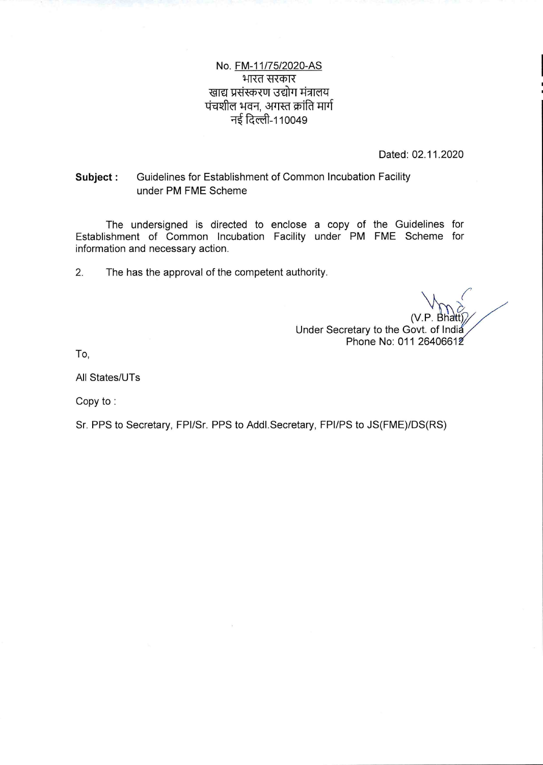No. FM-11/75/2020-AS भारत सरकार खाद्य प्रसंस्करण उद्योग मंत्रालय पंचशील भवन, अगस्त क्रांति मार्ग .<br>नई दिल्ली-110049

Dated: 02.11.2020

#### Guidelines for Establishment of Common Incubation Facility Subject: under PM FME Scheme

The undersigned is directed to enclose a copy of the Guidelines for Establishment of Common Incubation Facility under PM FME Scheme for information and necessary action.

 $2.$ The has the approval of the competent authority.

Under Secretary to the Govt. of India Phone No: 011 26406612

To,

All States/UTs

Copy to:

Sr. PPS to Secretary, FPI/Sr. PPS to Addl. Secretary, FPI/PS to JS(FME)/DS(RS)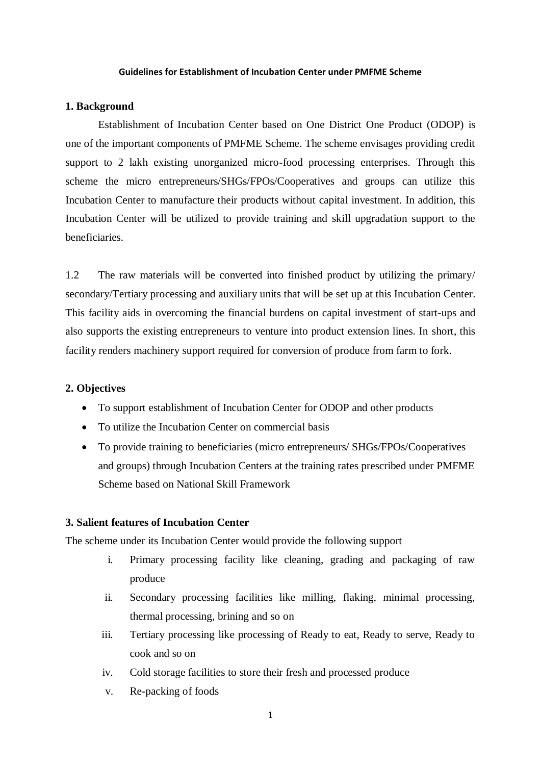#### **Guidelines for Establishment of Incubation Center under PMFME Scheme**

# **1. Background**

Establishment of Incubation Center based on One District One Product (ODOP) is one of the important components of PMFME Scheme. The scheme envisages providing credit support to 2 lakh existing unorganized micro-food processing enterprises. Through this scheme the micro entrepreneurs/SHGs/FPOs/Cooperatives and groups can utilize this Incubation Center to manufacture their products without capital investment. In addition, this Incubation Center will be utilized to provide training and skill upgradation support to the beneficiaries.

1.2 The raw materials will be converted into finished product by utilizing the primary/ secondary/Tertiary processing and auxiliary units that will be set up at this Incubation Center. This facility aids in overcoming the financial burdens on capital investment of start-ups and also supports the existing entrepreneurs to venture into product extension lines. In short, this facility renders machinery support required for conversion of produce from farm to fork.

#### **2. Objectives**

- To support establishment of Incubation Center for ODOP and other products
- To utilize the Incubation Center on commercial basis
- To provide training to beneficiaries (micro entrepreneurs/ SHGs/FPOs/Cooperatives and groups) through Incubation Centers at the training rates prescribed under PMFME Scheme based on National Skill Framework

# **3. Salient features of Incubation Center**

The scheme under its Incubation Center would provide the following support

- i. Primary processing facility like cleaning, grading and packaging of raw produce
- ii. Secondary processing facilities like milling, flaking, minimal processing, thermal processing, brining and so on
- iii. Tertiary processing like processing of Ready to eat, Ready to serve, Ready to cook and so on
- iv. Cold storage facilities to store their fresh and processed produce
- v. Re-packing of foods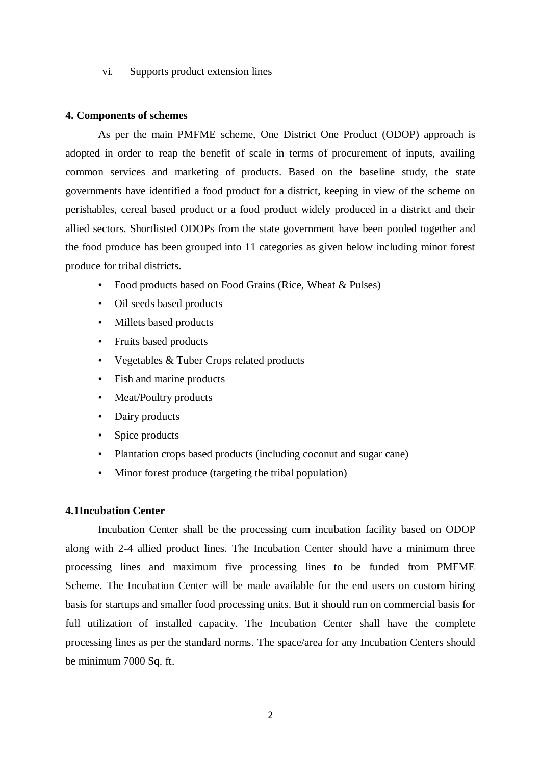vi. Supports product extension lines

#### **4. Components of schemes**

As per the main PMFME scheme, One District One Product (ODOP) approach is adopted in order to reap the benefit of scale in terms of procurement of inputs, availing common services and marketing of products. Based on the baseline study, the state governments have identified a food product for a district, keeping in view of the scheme on perishables, cereal based product or a food product widely produced in a district and their allied sectors. Shortlisted ODOPs from the state government have been pooled together and the food produce has been grouped into 11 categories as given below including minor forest produce for tribal districts.

- Food products based on Food Grains (Rice, Wheat & Pulses)
- Oil seeds based products
- Millets based products
- Fruits based products
- Vegetables & Tuber Crops related products
- Fish and marine products
- Meat/Poultry products
- Dairy products
- Spice products
- Plantation crops based products (including coconut and sugar cane)
- Minor forest produce (targeting the tribal population)

#### **4.1Incubation Center**

Incubation Center shall be the processing cum incubation facility based on ODOP along with 2-4 allied product lines. The Incubation Center should have a minimum three processing lines and maximum five processing lines to be funded from PMFME Scheme. The Incubation Center will be made available for the end users on custom hiring basis for startups and smaller food processing units. But it should run on commercial basis for full utilization of installed capacity. The Incubation Center shall have the complete processing lines as per the standard norms. The space/area for any Incubation Centers should be minimum 7000 Sq. ft.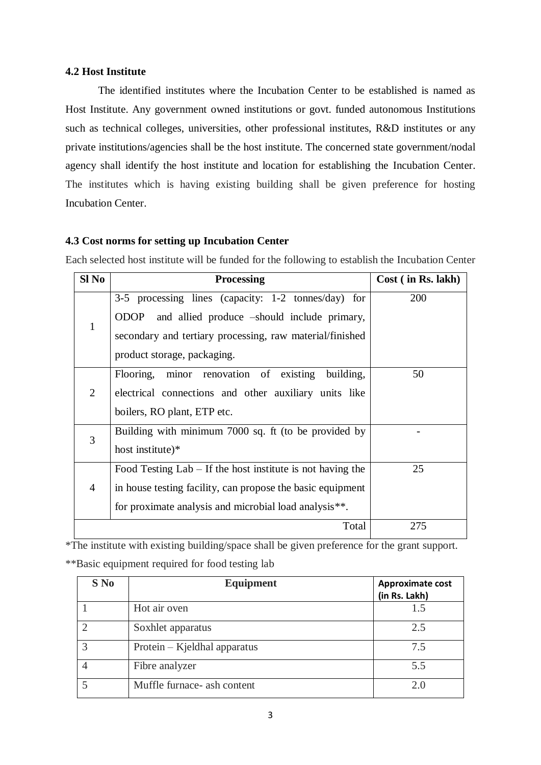## **4.2 Host Institute**

The identified institutes where the Incubation Center to be established is named as Host Institute. Any government owned institutions or govt. funded autonomous Institutions such as technical colleges, universities, other professional institutes, R&D institutes or any private institutions/agencies shall be the host institute. The concerned state government/nodal agency shall identify the host institute and location for establishing the Incubation Center. The institutes which is having existing building shall be given preference for hosting Incubation Center.

# **4.3 Cost norms for setting up Incubation Center**

Each selected host institute will be funded for the following to establish the Incubation Center

| Sl No          | <b>Processing</b>                                            | Cost (in Rs. 11) |
|----------------|--------------------------------------------------------------|------------------|
| $\mathbf{1}$   | 3-5 processing lines (capacity: $1-2$ tonnes/day) for        | 200              |
|                | and allied produce -should include primary,<br><b>ODOP</b>   |                  |
|                | secondary and tertiary processing, raw material/finished     |                  |
|                | product storage, packaging.                                  |                  |
| $\overline{2}$ | minor renovation of existing<br>building,<br>Flooring,       | 50               |
|                | electrical connections and other auxiliary units like        |                  |
|                | boilers, RO plant, ETP etc.                                  |                  |
| 3              | Building with minimum 7000 sq. ft (to be provided by         |                  |
|                | host institute)*                                             |                  |
| $\overline{4}$ | Food Testing $Lab - If$ the host institute is not having the | 25               |
|                | in house testing facility, can propose the basic equipment   |                  |
|                | for proximate analysis and microbial load analysis**.        |                  |
|                | Total                                                        | 275              |

\*The institute with existing building/space shall be given preference for the grant support.

\*\*Basic equipment required for food testing lab

| $S$ No      | Equipment                    | <b>Approximate cost</b><br>(in Rs. Lakh) |
|-------------|------------------------------|------------------------------------------|
|             | Hot air oven                 | 1.5                                      |
|             | Soxhlet apparatus            | 2.5                                      |
| $\mathbf 3$ | Protein – Kjeldhal apparatus | 7.5                                      |
|             | Fibre analyzer               | 5.5                                      |
|             | Muffle furnace- ash content  | 2.0                                      |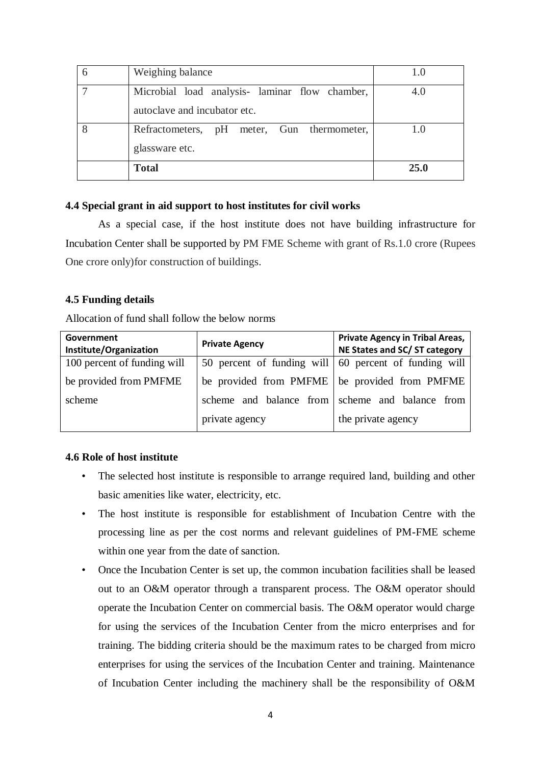| autoclave and incubator etc.               |             |
|--------------------------------------------|-------------|
| Refractometers, pH meter, Gun thermometer, | 1.0         |
| glassware etc.                             |             |
| <b>Total</b>                               | <b>25.0</b> |

# **4.4 Special grant in aid support to host institutes for civil works**

As a special case, if the host institute does not have building infrastructure for Incubation Center shall be supported by PM FME Scheme with grant of Rs.1.0 crore (Rupees One crore only)for construction of buildings.

#### **4.5 Funding details**

Allocation of fund shall follow the below norms

| Government<br>Institute/Organization | <b>Private Agency</b>                                 | <b>Private Agency in Tribal Areas,</b><br>NE States and SC/ST category |
|--------------------------------------|-------------------------------------------------------|------------------------------------------------------------------------|
| 100 percent of funding will          | 50 percent of funding will 60 percent of funding will |                                                                        |
| be provided from PMFME               | be provided from PMFME                                | be provided from PMFME                                                 |
| scheme                               | scheme and balance from                               | scheme and balance from                                                |
|                                      | private agency                                        | the private agency                                                     |

# **4.6 Role of host institute**

- The selected host institute is responsible to arrange required land, building and other basic amenities like water, electricity, etc.
- The host institute is responsible for establishment of Incubation Centre with the processing line as per the cost norms and relevant guidelines of PM-FME scheme within one year from the date of sanction.
- Once the Incubation Center is set up, the common incubation facilities shall be leased out to an O&M operator through a transparent process. The O&M operator should operate the Incubation Center on commercial basis. The O&M operator would charge for using the services of the Incubation Center from the micro enterprises and for training. The bidding criteria should be the maximum rates to be charged from micro enterprises for using the services of the Incubation Center and training. Maintenance of Incubation Center including the machinery shall be the responsibility of O&M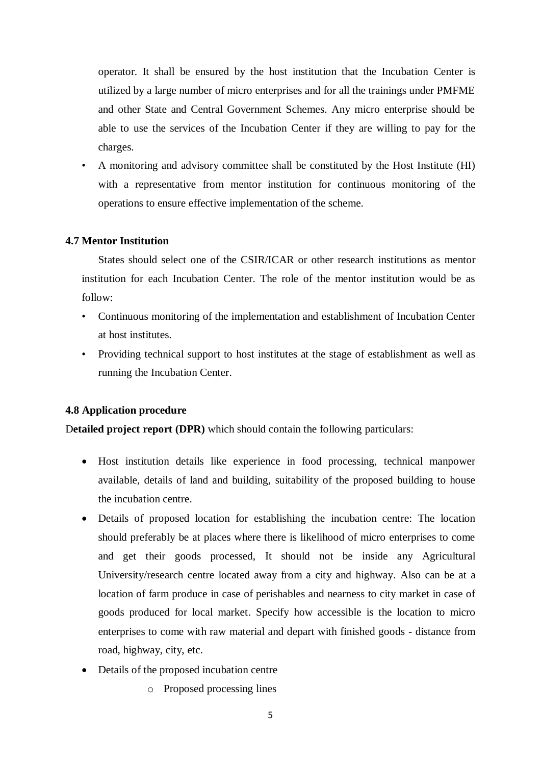operator. It shall be ensured by the host institution that the Incubation Center is utilized by a large number of micro enterprises and for all the trainings under PMFME and other State and Central Government Schemes. Any micro enterprise should be able to use the services of the Incubation Center if they are willing to pay for the charges.

• A monitoring and advisory committee shall be constituted by the Host Institute (HI) with a representative from mentor institution for continuous monitoring of the operations to ensure effective implementation of the scheme.

## **4.7 Mentor Institution**

States should select one of the CSIR/ICAR or other research institutions as mentor institution for each Incubation Center. The role of the mentor institution would be as follow:

- Continuous monitoring of the implementation and establishment of Incubation Center at host institutes.
- Providing technical support to host institutes at the stage of establishment as well as running the Incubation Center.

#### **4.8 Application procedure**

D**etailed project report (DPR)** which should contain the following particulars:

- Host institution details like experience in food processing, technical manpower available, details of land and building, suitability of the proposed building to house the incubation centre.
- Details of proposed location for establishing the incubation centre: The location should preferably be at places where there is likelihood of micro enterprises to come and get their goods processed, It should not be inside any Agricultural University/research centre located away from a city and highway. Also can be at a location of farm produce in case of perishables and nearness to city market in case of goods produced for local market. Specify how accessible is the location to micro enterprises to come with raw material and depart with finished goods - distance from road, highway, city, etc.
- Details of the proposed incubation centre
	- o Proposed processing lines